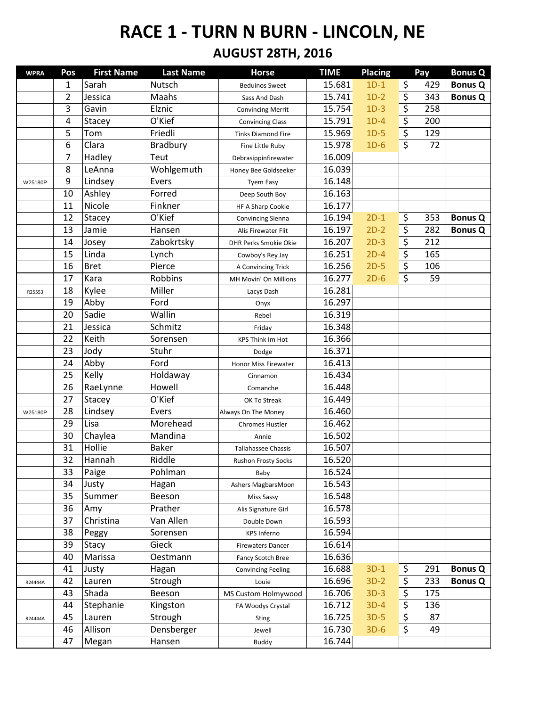| <b>WPRA</b> | Pos            | <b>First Name</b> | <b>Last Name</b> | <b>Horse</b>               | <b>TIME</b> | <b>Placing</b> | Pay       | <b>Bonus Q</b> |
|-------------|----------------|-------------------|------------------|----------------------------|-------------|----------------|-----------|----------------|
|             | 1              | Sarah             | Nutsch           | <b>Beduinos Sweet</b>      | 15.681      | $1D-1$         | \$<br>429 | <b>Bonus Q</b> |
|             | $\overline{2}$ | Jessica           | Maahs            | Sass And Dash              | 15.741      | $1D-2$         | \$<br>343 | <b>Bonus Q</b> |
|             | 3              | Gavin             | Elznic           | <b>Convincing Merrit</b>   | 15.754      | $1D-3$         | \$<br>258 |                |
|             | 4              | Stacey            | O'Kief           | <b>Convincing Class</b>    | 15.791      | $1D-4$         | \$<br>200 |                |
|             | 5              | Tom               | Friedli          | <b>Tinks Diamond Fire</b>  | 15.969      | $1D-5$         | \$<br>129 |                |
|             | 6              | Clara             | Bradbury         | Fine Little Ruby           | 15.978      | $1D-6$         | \$<br>72  |                |
|             | 7              | Hadley            | Teut             | Debrasippinfirewater       | 16.009      |                |           |                |
|             | 8              | LeAnna            | Wohlgemuth       | Honey Bee Goldseeker       | 16.039      |                |           |                |
| W25180P     | 9              | Lindsey           | Evers            | <b>Tyem Easy</b>           | 16.148      |                |           |                |
|             | 10             | Ashley            | Forred           | Deep South Boy             | 16.163      |                |           |                |
|             | 11             | Nicole            | Finkner          | HF A Sharp Cookie          | 16.177      |                |           |                |
|             | 12             | Stacey            | O'Kief           | <b>Convincing Sienna</b>   | 16.194      | $2D-1$         | \$<br>353 | <b>Bonus Q</b> |
|             | 13             | Jamie             | Hansen           | Alis Firewater Flit        | 16.197      | $2D-2$         | \$<br>282 | <b>Bonus Q</b> |
|             | 14             | Josey             | Zabokrtsky       | DHR Perks Smokie Okie      | 16.207      | $2D-3$         | \$<br>212 |                |
|             | 15             | Linda             | Lynch            | Cowboy's Rey Jay           | 16.251      | $2D-4$         | \$<br>165 |                |
|             | 16             | <b>Bret</b>       | Pierce           | A Convincing Trick         | 16.256      | $2D-5$         | \$<br>106 |                |
|             | 17             | Kara              | <b>Robbins</b>   | MH Movin' On Millions      | 16.277      | $2D-6$         | \$<br>59  |                |
| R25553      | 18             | Kylee             | Miller           | Lacys Dash                 | 16.281      |                |           |                |
|             | 19             | Abby              | Ford             | Onyx                       | 16.297      |                |           |                |
|             | 20             | Sadie             | Wallin           | Rebel                      | 16.319      |                |           |                |
|             | 21             | Jessica           | Schmitz          | Friday                     | 16.348      |                |           |                |
|             | 22             | Keith             | Sorensen         | <b>KPS Think Im Hot</b>    | 16.366      |                |           |                |
|             | 23             | Jody              | Stuhr            | Dodge                      | 16.371      |                |           |                |
|             | 24             | Abby              | Ford             | Honor Miss Firewater       | 16.413      |                |           |                |
|             | 25             | Kelly             | Holdaway         | Cinnamon                   | 16.434      |                |           |                |
|             | 26             | RaeLynne          | Howell           | Comanche                   | 16.448      |                |           |                |
|             | 27             | Stacey            | O'Kief           | OK To Streak               | 16.449      |                |           |                |
| W25180P     | 28             | Lindsey           | Evers            | Always On The Money        | 16.460      |                |           |                |
|             | 29             | Lisa              | Morehead         | <b>Chromes Hustler</b>     | 16.462      |                |           |                |
|             | 30             | Chaylea           | Mandina          | Annie                      | 16.502      |                |           |                |
|             | 31             | Hollie            | <b>Baker</b>     | <b>Tallahassee Chassis</b> | 16.507      |                |           |                |
|             | 32             | Hannah            | Riddle           | <b>Rushon Frosty Socks</b> | 16.520      |                |           |                |
|             | 33             | Paige             | Pohlman          | Baby                       | 16.524      |                |           |                |
|             | 34             | Justy             | Hagan            | Ashers MagbarsMoon         | 16.543      |                |           |                |
|             | 35             | Summer            | Beeson           | Miss Sassy                 | 16.548      |                |           |                |
|             | 36             | Amy               | Prather          | Alis Signature Girl        | 16.578      |                |           |                |
|             | 37             | Christina         | Van Allen        | Double Down                | 16.593      |                |           |                |
|             | 38             | Peggy             | Sorensen         | <b>KPS Inferno</b>         | 16.594      |                |           |                |
|             | 39             | Stacy             | Gieck            | <b>Firewaters Dancer</b>   | 16.614      |                |           |                |
|             | 40             | Marissa           | Oestmann         | Fancy Scotch Bree          | 16.636      |                |           |                |
|             | 41             | Justy             | Hagan            | <b>Convincing Feeling</b>  | 16.688      | $3D-1$         | \$<br>291 | <b>Bonus Q</b> |
| R24444A     | 42             | Lauren            | Strough          | Louie                      | 16.696      | $3D-2$         | \$<br>233 | <b>Bonus Q</b> |
|             | 43             | Shada             | Beeson           | MS Custom Holmywood        | 16.706      | $3D-3$         | \$<br>175 |                |
|             | 44             | Stephanie         | Kingston         | FA Woodys Crystal          | 16.712      | $3D-4$         | \$<br>136 |                |
| R24444A     | 45             | Lauren            | Strough          | Sting                      | 16.725      | $3D-5$         | \$<br>87  |                |
|             | 46             | Allison           | Densberger       | Jewell                     | 16.730      | $3D-6$         | \$<br>49  |                |
|             | 47             | Megan             | Hansen           | <b>Buddy</b>               | 16.744      |                |           |                |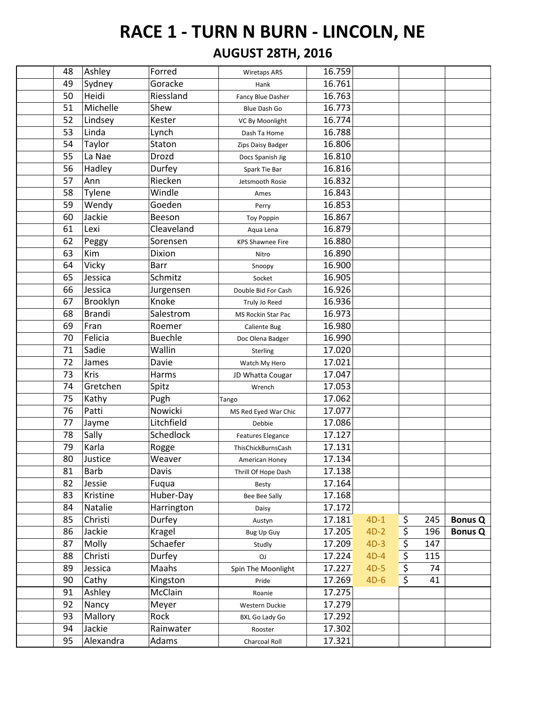| 48 | Ashley        | Forred         | <b>Wiretaps ARS</b>       | 16.759 |        |           |                |
|----|---------------|----------------|---------------------------|--------|--------|-----------|----------------|
| 49 | Sydney        | Goracke        | Hank                      | 16.761 |        |           |                |
| 50 | Heidi         | Riessland      | Fancy Blue Dasher         | 16.763 |        |           |                |
| 51 | Michelle      | Shew           | Blue Dash Go              | 16.773 |        |           |                |
| 52 | Lindsey       | Kester         | VC By Moonlight           | 16.774 |        |           |                |
| 53 | Linda         | Lynch          | Dash Ta Home              | 16.788 |        |           |                |
| 54 | Taylor        | Staton         | Zips Daisy Badger         | 16.806 |        |           |                |
| 55 | La Nae        | Drozd          | Docs Spanish Jig          | 16.810 |        |           |                |
| 56 | Hadley        | Durfey         | Spark Tie Bar             | 16.816 |        |           |                |
| 57 | Ann           | Riecken        | Jetsmooth Rosie           | 16.832 |        |           |                |
| 58 | Tylene        | Windle         | Ames                      | 16.843 |        |           |                |
| 59 | Wendy         | Goeden         | Perry                     | 16.853 |        |           |                |
| 60 | Jackie        | Beeson         | <b>Toy Poppin</b>         | 16.867 |        |           |                |
| 61 | Lexi          | Cleaveland     | Aqua Lena                 | 16.879 |        |           |                |
| 62 | Peggy         | Sorensen       | <b>KPS Shawnee Fire</b>   | 16.880 |        |           |                |
| 63 | Kim           | Dixion         | Nitro                     | 16.890 |        |           |                |
| 64 | Vicky         | <b>Barr</b>    | Snoopy                    | 16.900 |        |           |                |
| 65 | Jessica       | Schmitz        | Socket                    | 16.905 |        |           |                |
| 66 | Jessica       | Jurgensen      | Double Bid For Cash       | 16.926 |        |           |                |
| 67 | Brooklyn      | Knoke          | Truly Jo Reed             | 16.936 |        |           |                |
| 68 | <b>Brandi</b> | Salestrom      | <b>MS Rockin Star Pac</b> | 16.973 |        |           |                |
| 69 | Fran          | Roemer         | Caliente Bug              | 16.980 |        |           |                |
| 70 | Felicia       | <b>Buechle</b> | Doc Olena Badger          | 16.990 |        |           |                |
| 71 | Sadie         | Wallin         | Sterling                  | 17.020 |        |           |                |
| 72 | James         | Davie          | Watch My Hero             | 17.021 |        |           |                |
| 73 | Kris          | Harms          | JD Whatta Cougar          | 17.047 |        |           |                |
| 74 | Gretchen      | Spitz          | Wrench                    | 17.053 |        |           |                |
| 75 | Kathy         | Pugh           | Tango                     | 17.062 |        |           |                |
| 76 | Patti         | Nowicki        | MS Red Eyed War Chic      | 17.077 |        |           |                |
| 77 | Jayme         | Litchfield     | Debbie                    | 17.086 |        |           |                |
| 78 | Sally         | Schedlock      | Features Elegance         | 17.127 |        |           |                |
| 79 | Karla         | Rogge          | ThisChickBurnsCash        | 17.131 |        |           |                |
| 80 | Justice       | Weaver         | American Honey            | 17.134 |        |           |                |
| 81 | <b>Barb</b>   | Davis          | Thrill Of Hope Dash       | 17.138 |        |           |                |
| 82 | Jessie        | Fuqua          | Besty                     | 17.164 |        |           |                |
| 83 | Kristine      | Huber-Day      | Bee Bee Sally             | 17.168 |        |           |                |
| 84 | Natalie       | Harrington     | Daisy                     | 17.172 |        |           |                |
| 85 | Christi       | Durfey         | Austyn                    | 17.181 | $4D-1$ | \$<br>245 | <b>Bonus Q</b> |
| 86 | Jackie        | Kragel         | Bug Up Guy                | 17.205 | $4D-2$ | \$<br>196 | <b>Bonus Q</b> |
| 87 | Molly         | Schaefer       | Studly                    | 17.209 | $4D-3$ | \$<br>147 |                |
| 88 | Christi       | Durfey         | <b>OJ</b>                 | 17.224 | $4D-4$ | \$<br>115 |                |
| 89 | Jessica       | Maahs          | Spin The Moonlight        | 17.227 | $4D-5$ | \$<br>74  |                |
| 90 | Cathy         | Kingston       | Pride                     | 17.269 | $4D-6$ | \$<br>41  |                |
| 91 | Ashley        | McClain        | Roanie                    | 17.275 |        |           |                |
| 92 | Nancy         | Meyer          | Western Duckie            | 17.279 |        |           |                |
| 93 | Mallory       | Rock           | <b>BXL Go Lady Go</b>     | 17.292 |        |           |                |
| 94 | Jackie        | Rainwater      | Rooster                   | 17.302 |        |           |                |
| 95 | Alexandra     | Adams          | Charcoal Roll             | 17.321 |        |           |                |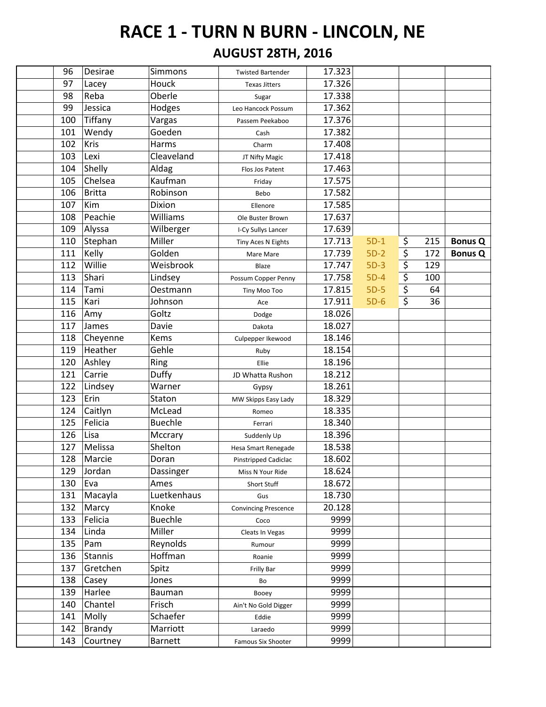| 96  | Desirae       | Simmons         | <b>Twisted Bartender</b>    | 17.323 |        |           |                |
|-----|---------------|-----------------|-----------------------------|--------|--------|-----------|----------------|
| 97  | Lacey         | Houck           | <b>Texas Jitters</b>        | 17.326 |        |           |                |
| 98  | Reba          | Oberle          | Sugar                       | 17.338 |        |           |                |
| 99  | Jessica       | Hodges          | Leo Hancock Possum          | 17.362 |        |           |                |
| 100 | Tiffany       | Vargas          | Passem Peekaboo             | 17.376 |        |           |                |
| 101 | Wendy         | Goeden          | Cash                        | 17.382 |        |           |                |
| 102 | Kris          | Harms           | Charm                       | 17.408 |        |           |                |
| 103 | Lexi          | Cleaveland      | JT Nifty Magic              | 17.418 |        |           |                |
| 104 | Shelly        | Aldag           | Flos Jos Patent             | 17.463 |        |           |                |
| 105 | Chelsea       | Kaufman         | Friday                      | 17.575 |        |           |                |
| 106 | Britta        | Robinson        | Bebo                        | 17.582 |        |           |                |
| 107 | Kim           | Dixion          | Ellenore                    | 17.585 |        |           |                |
| 108 | Peachie       | Williams        | Ole Buster Brown            | 17.637 |        |           |                |
| 109 | Alyssa        | Wilberger       | I-Cy Sullys Lancer          | 17.639 |        |           |                |
| 110 | Stephan       | Miller          | Tiny Aces N Eights          | 17.713 | $5D-1$ | \$<br>215 | <b>Bonus Q</b> |
| 111 | Kelly         | Golden          | Mare Mare                   | 17.739 | $5D-2$ | \$<br>172 | <b>Bonus Q</b> |
| 112 | Willie        | Weisbrook       | Blaze                       | 17.747 | $5D-3$ | \$<br>129 |                |
| 113 | Shari         | Lindsey         | Possum Copper Penny         | 17.758 | $5D-4$ | \$<br>100 |                |
| 114 | Tami          | <b>Oestmann</b> | Tiny Moo Too                | 17.815 | $5D-5$ | \$<br>64  |                |
| 115 | Kari          | Johnson         | Ace                         | 17.911 | $5D-6$ | \$<br>36  |                |
| 116 | Amy           | Goltz           | Dodge                       | 18.026 |        |           |                |
| 117 | James         | Davie           | Dakota                      | 18.027 |        |           |                |
| 118 | Cheyenne      | Kems            | Culpepper Ikewood           | 18.146 |        |           |                |
| 119 | Heather       | Gehle           | Ruby                        | 18.154 |        |           |                |
| 120 | Ashley        | Ring            | Ellie                       | 18.196 |        |           |                |
| 121 | Carrie        | Duffy           | JD Whatta Rushon            | 18.212 |        |           |                |
| 122 | Lindsey       | Warner          | Gypsy                       | 18.261 |        |           |                |
| 123 | Erin          | Staton          | MW Skipps Easy Lady         | 18.329 |        |           |                |
| 124 | Caitlyn       | McLead          | Romeo                       | 18.335 |        |           |                |
| 125 | Felicia       | <b>Buechle</b>  | Ferrari                     | 18.340 |        |           |                |
| 126 | Lisa          | Mccrary         | Suddenly Up                 | 18.396 |        |           |                |
| 127 | Melissa       | Shelton         | Hesa Smart Renegade         | 18.538 |        |           |                |
| 128 | Marcie        | Doran           | Pinstripped Cadiclac        | 18.602 |        |           |                |
| 129 | Jordan        | Dassinger       | Miss N Your Ride            | 18.624 |        |           |                |
| 130 | Eva           | Ames            | Short Stuff                 | 18.672 |        |           |                |
| 131 | Macayla       | Luetkenhaus     | Gus                         | 18.730 |        |           |                |
| 132 | Marcy         | Knoke           | <b>Convincing Prescence</b> | 20.128 |        |           |                |
| 133 | Felicia       | <b>Buechle</b>  | Coco                        | 9999   |        |           |                |
| 134 | Linda         | Miller          | Cleats In Vegas             | 9999   |        |           |                |
| 135 | Pam           | Reynolds        | Rumour                      | 9999   |        |           |                |
| 136 | Stannis       | Hoffman         | Roanie                      | 9999   |        |           |                |
| 137 | Gretchen      | Spitz           | Frilly Bar                  | 9999   |        |           |                |
| 138 | Casey         | Jones           | Bo                          | 9999   |        |           |                |
| 139 | Harlee        | Bauman          | Booey                       | 9999   |        |           |                |
| 140 | Chantel       | Frisch          | Ain't No Gold Digger        | 9999   |        |           |                |
| 141 | Molly         | Schaefer        | Eddie                       | 9999   |        |           |                |
| 142 | <b>Brandy</b> | Marriott        | Laraedo                     | 9999   |        |           |                |
| 143 | Courtney      | <b>Barnett</b>  | Famous Six Shooter          | 9999   |        |           |                |